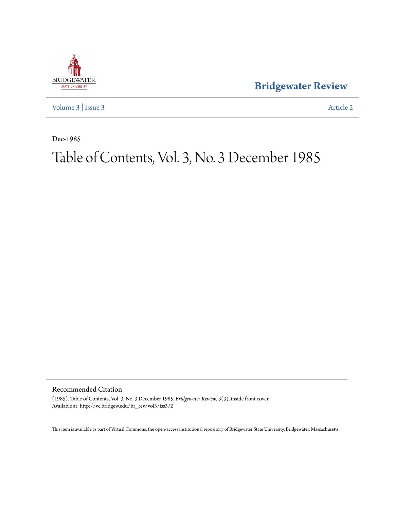

**[Bridgewater Review](http://vc.bridgew.edu/br_rev)**

[Volume 3](http://vc.bridgew.edu/br_rev/vol3) | [Issue 3](http://vc.bridgew.edu/br_rev/vol3/iss3) [Article 2](http://vc.bridgew.edu/br_rev/vol3/iss3/2)

Dec-1985

# Table of Contents, Vol. 3, No. 3 December 1985

Recommended Citation

(1985). Table of Contents, Vol. 3, No. 3 December 1985. *Bridgewater Review*, 3(3), inside front cover. Available at: http://vc.bridgew.edu/br\_rev/vol3/iss3/2

This item is available as part of Virtual Commons, the open-access institutional repository of Bridgewater State University, Bridgewater, Massachusetts.